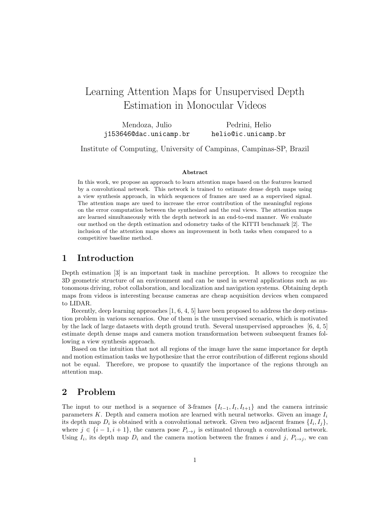# Learning Attention Maps for Unsupervised Depth Estimation in Monocular Videos

Mendoza, Julio j153646@dac.unicamp.br Pedrini, Helio helio@ic.unicamp.br

Institute of Computing, University of Campinas, Campinas-SP, Brazil

#### Abstract

In this work, we propose an approach to learn attention maps based on the features learned by a convolutional network. This network is trained to estimate dense depth maps using a view synthesis approach, in which sequences of frames are used as a supervised signal. The attention maps are used to increase the error contribution of the meaningful regions on the error computation between the synthesized and the real views. The attention maps are learned simultaneously with the depth network in an end-to-end manner. We evaluate our method on the depth estimation and odometry tasks of the KITTI benchmark [2]. The inclusion of the attention maps shows an improvement in both tasks when compared to a competitive baseline method.

#### 1 Introduction

Depth estimation [3] is an important task in machine perception. It allows to recognize the 3D geometric structure of an environment and can be used in several applications such as autonomous driving, robot collaboration, and localization and navigation systems. Obtaining depth maps from videos is interesting because cameras are cheap acquisition devices when compared to LIDAR.

Recently, deep learning approaches [1, 6, 4, 5] have been proposed to address the deep estimation problem in various scenarios. One of them is the unsupervised scenario, which is motivated by the lack of large datasets with depth ground truth. Several unsupervised approaches [6, 4, 5] estimate depth dense maps and camera motion transformation between subsequent frames following a view synthesis approach.

Based on the intuition that not all regions of the image have the same importance for depth and motion estimation tasks we hypothesize that the error contribution of different regions should not be equal. Therefore, we propose to quantify the importance of the regions through an attention map.

#### 2 Problem

The input to our method is a sequence of 3-frames  $\{I_{t-1}, I_t, I_{t+1}\}\$  and the camera intrinsic parameters K. Depth and camera motion are learned with neural networks. Given an image  $I_i$ its depth map  $D_i$  is obtained with a convolutional network. Given two adjacent frames  $\{I_i, I_j\}$ , where  $j \in \{i-1, i+1\}$ , the camera pose  $P_{i\to j}$  is estimated through a convolutional network. Using  $I_i$ , its depth map  $D_i$  and the camera motion between the frames i and j,  $P_{i\rightarrow j}$ , we can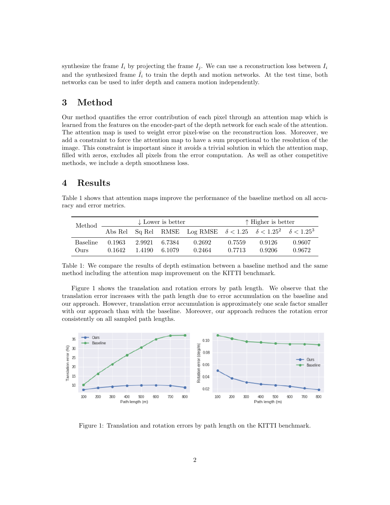synthesize the frame  $I_i$  by projecting the frame  $I_j$ . We can use a reconstruction loss between  $I_i$ and the synthesized frame  $I_i$  to train the depth and motion networks. At the test time, both networks can be used to infer depth and camera motion independently.

### 3 Method

Our method quantifies the error contribution of each pixel through an attention map which is learned from the features on the encoder-part of the depth network for each scale of the attention. The attention map is used to weight error pixel-wise on the reconstruction loss. Moreover, we add a constraint to force the attention map to have a sum proportional to the resolution of the image. This constraint is important since it avoids a trivial solution in which the attention map, filled with zeros, excludes all pixels from the error computation. As well as other competitive methods, we include a depth smoothness loss.

### 4 Results

Table 1 shows that attention maps improve the performance of the baseline method on all accuracy and error metrics.

| Method.                              | $\downarrow$ Lower is better |                  |                  |                                                                                  | ↑ Higher is better |                  |                  |
|--------------------------------------|------------------------------|------------------|------------------|----------------------------------------------------------------------------------|--------------------|------------------|------------------|
|                                      |                              |                  |                  | Abs Rel Sq Rel RMSE Log RMSE $\delta < 1.25$ $\delta < 1.25^2$ $\delta < 1.25^3$ |                    |                  |                  |
| <b>Baseline</b><br>O <sub>111S</sub> | 0.1963<br>0.1642             | 2.9921<br>1 4190 | 6.7384<br>6.1079 | 0.2692<br>0.2464                                                                 | 0.7559<br>0.7713   | 0.9126<br>0.9206 | 0.9607<br>0.9672 |

Table 1: We compare the results of depth estimation between a baseline method and the same method including the attention map improvement on the KITTI benchmark.

Figure 1 shows the translation and rotation errors by path length. We observe that the translation error increases with the path length due to error accumulation on the baseline and our approach. However, translation error accumulation is approximately one scale factor smaller with our approach than with the baseline. Moreover, our approach reduces the rotation error consistently on all sampled path lengths.



Figure 1: Translation and rotation errors by path length on the KITTI benchmark.